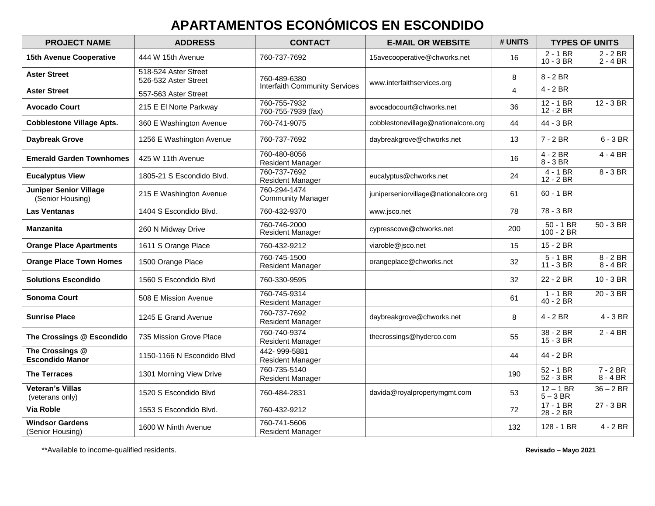# **APARTAMENTOS ECONÓMICOS EN ESCONDIDO**

| <b>PROJECT NAME</b>                               | <b>ADDRESS</b>                               | <b>CONTACT</b>                           | <b>E-MAIL OR WEBSITE</b>              | # UNITS |                                    | <b>TYPES OF UNITS</b>    |
|---------------------------------------------------|----------------------------------------------|------------------------------------------|---------------------------------------|---------|------------------------------------|--------------------------|
| <b>15th Avenue Cooperative</b>                    | 444 W 15th Avenue                            | 760-737-7692                             | 15avecooperative@chworks.net          | 16      | $2 - 1 BR$<br>$10 - 3 BR$          | $2 - 2 BR$<br>$2 - 4 BR$ |
| <b>Aster Street</b>                               | 518-524 Aster Street<br>526-532 Aster Street | 760-489-6380                             | www.interfaithservices.org            | 8       | $8 - 2$ BR                         |                          |
| <b>Aster Street</b>                               | 557-563 Aster Street                         | <b>Interfaith Community Services</b>     |                                       | 4       | $4 - 2 BR$                         |                          |
| <b>Avocado Court</b>                              | 215 E El Norte Parkway                       | 760-755-7932<br>760-755-7939 (fax)       | avocadocourt@chworks.net              | 36      | $12 - 1 BR$<br>$12 - 2 BR$         | $12 - 3 BR$              |
| <b>Cobblestone Village Apts.</b>                  | 360 E Washington Avenue                      | 760-741-9075                             | cobblestonevillage@nationalcore.org   | 44      | 44 - 3 BR                          |                          |
| <b>Daybreak Grove</b>                             | 1256 E Washington Avenue                     | 760-737-7692                             | daybreakgrove@chworks.net             | 13      | $7 - 2 BR$                         | $6 - 3 BR$               |
| <b>Emerald Garden Townhomes</b>                   | 425 W 11th Avenue                            | 760-480-8056<br><b>Resident Manager</b>  |                                       | 16      | $4 - 2 BR$<br>$8 - 3 BR$           | $4 - 4 BR$               |
| <b>Eucalyptus View</b>                            | 1805-21 S Escondido Blvd.                    | 760-737-7692<br><b>Resident Manager</b>  | eucalyptus@chworks.net                | 24      | $\overline{4-1}$ BR<br>$12 - 2 BR$ | $8 - 3 BR$               |
| <b>Juniper Senior Village</b><br>(Senior Housing) | 215 E Washington Avenue                      | 760-294-1474<br><b>Community Manager</b> | juniperseniorvillage@nationalcore.org | 61      | $60 - 1$ BR                        |                          |
| <b>Las Ventanas</b>                               | 1404 S Escondido Blvd.                       | 760-432-9370                             | www.jsco.net                          | 78      | 78 - 3 BR                          |                          |
| <b>Manzanita</b>                                  | 260 N Midway Drive                           | 760-746-2000<br><b>Resident Manager</b>  | cypresscove@chworks.net               | 200     | $50 - 1$ BR<br>$100 - 2 BR$        | $50 - 3 BR$              |
| <b>Orange Place Apartments</b>                    | 1611 S Orange Place                          | 760-432-9212                             | viaroble@jsco.net                     | 15      | $15 - 2 BR$                        |                          |
| <b>Orange Place Town Homes</b>                    | 1500 Orange Place                            | 760-745-1500<br><b>Resident Manager</b>  | orangeplace@chworks.net               | 32      | $5 - 1 BR$<br>$11 - 3 BR$          | $8 - 2 BR$<br>$8 - 4$ BR |
| <b>Solutions Escondido</b>                        | 1560 S Escondido Blvd                        | 760-330-9595                             |                                       | 32      | 22 - 2 BR                          | $10 - 3 BR$              |
| <b>Sonoma Court</b>                               | 508 E Mission Avenue                         | 760-745-9314<br><b>Resident Manager</b>  |                                       | 61      | $1 - 1 BR$<br>40 - 2 BR            | $20 - 3 BR$              |
| <b>Sunrise Place</b>                              | 1245 E Grand Avenue                          | 760-737-7692<br><b>Resident Manager</b>  | daybreakgrove@chworks.net             | 8       | $4 - 2 BR$                         | $4 - 3 BR$               |
| The Crossings @ Escondido                         | 735 Mission Grove Place                      | 760-740-9374<br><b>Resident Manager</b>  | thecrossings@hyderco.com              | 55      | 38 - 2 BR<br>$15 - 3 BR$           | $2 - 4 BR$               |
| The Crossings @<br><b>Escondido Manor</b>         | 1150-1166 N Escondido Blvd                   | 442-999-5881<br><b>Resident Manager</b>  |                                       | 44      | 44 - 2 BR                          |                          |
| <b>The Terraces</b>                               | 1301 Morning View Drive                      | 760-735-5140<br><b>Resident Manager</b>  |                                       | 190     | $52 - 1 BR$<br>52 - 3 BR           | $7 - 2 BR$<br>$8 - 4 BR$ |
| <b>Veteran's Villas</b><br>(veterans only)        | 1520 S Escondido Blvd                        | 760-484-2831                             | davida@royalpropertymgmt.com          | 53      | $12 - 1 BR$<br>$5 - 3 BR$          | $36 - 2 BR$              |
| <b>Via Roble</b>                                  | 1553 S Escondido Blvd.                       | 760-432-9212                             |                                       | 72      | $17 - 1$ BR<br>28 - 2 BR           | $27 - 3 BR$              |
| <b>Windsor Gardens</b><br>(Senior Housing)        | 1600 W Ninth Avenue                          | 760-741-5606<br><b>Resident Manager</b>  |                                       | 132     | 128 - 1 BR                         | $4 - 2 BR$               |

\*\*Available to income-qualified residents. **Revisado – Mayo 2021**